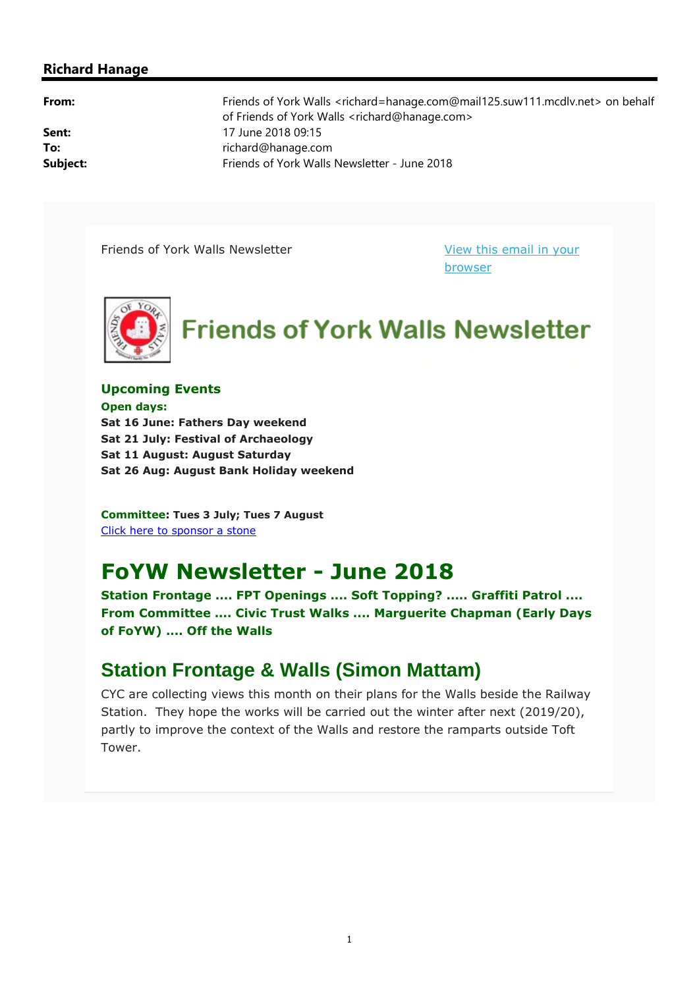#### **Richard Hanage**

**From:** Friends of York Walls <richard=hanage.com@mail125.suw111.mcdlv.net> on behalf of Friends of York Walls <richard@hanage.com> **Sent:** 17 June 2018 09:15 To: To: **To:** richard@hanage.com **Subject:** Friends of York Walls Newsletter - June 2018

Friends of York Walls Newsletter View this email in your

browser



**Upcoming Events**

**Open days: Sat 16 June: Fathers Day weekend Sat 21 July: Festival of Archaeology Sat 11 August: August Saturday Sat 26 Aug: August Bank Holiday weekend**

**Committee: Tues 3 July; Tues 7 August** Click here to sponsor a stone

## **FoYW Newsletter - June 2018**

**Station Frontage .... FPT Openings .... Soft Topping? ..... Graffiti Patrol .... From Committee .... Civic Trust Walks .... Marguerite Chapman (Early Days of FoYW) .... Off the Walls**

#### **Station Frontage & Walls (Simon Mattam)**

CYC are collecting views this month on their plans for the Walls beside the Railway Station. They hope the works will be carried out the winter after next (2019/20), partly to improve the context of the Walls and restore the ramparts outside Toft Tower.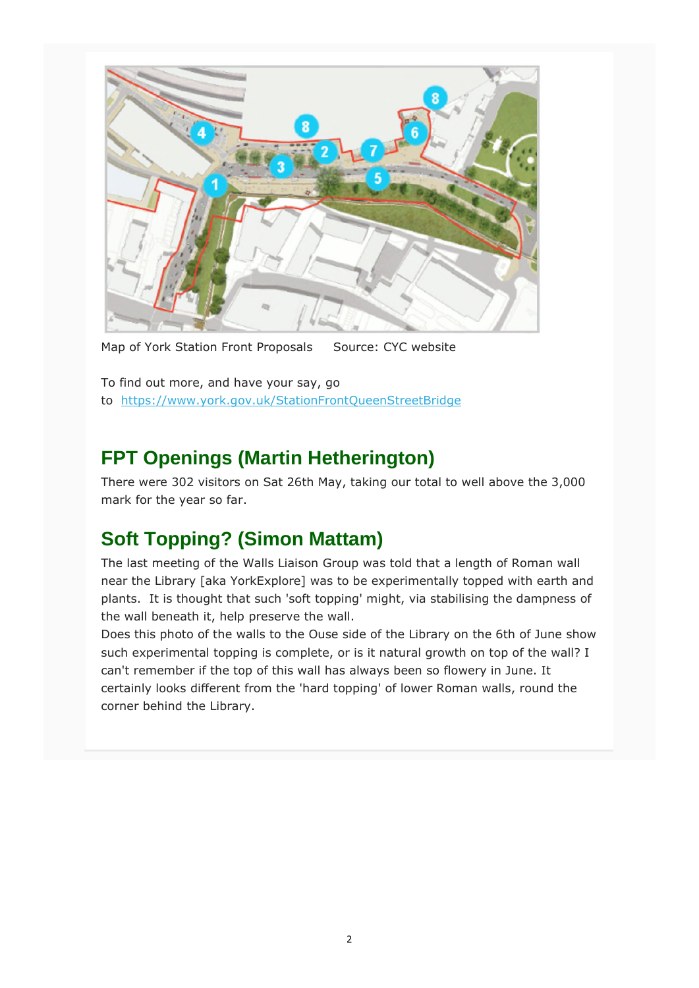

Map of York Station Front Proposals Source: CYC website

To find out more, and have your say, go to https://www.york.gov.uk/StationFrontQueenStreetBridge

### **FPT Openings (Martin Hetherington)**

There were 302 visitors on Sat 26th May, taking our total to well above the 3,000 mark for the year so far.

## **Soft Topping? (Simon Mattam)**

The last meeting of the Walls Liaison Group was told that a length of Roman wall near the Library [aka YorkExplore] was to be experimentally topped with earth and plants. It is thought that such 'soft topping' might, via stabilising the dampness of the wall beneath it, help preserve the wall.

Does this photo of the walls to the Ouse side of the Library on the 6th of June show such experimental topping is complete, or is it natural growth on top of the wall? I can't remember if the top of this wall has always been so flowery in June. It certainly looks different from the 'hard topping' of lower Roman walls, round the corner behind the Library.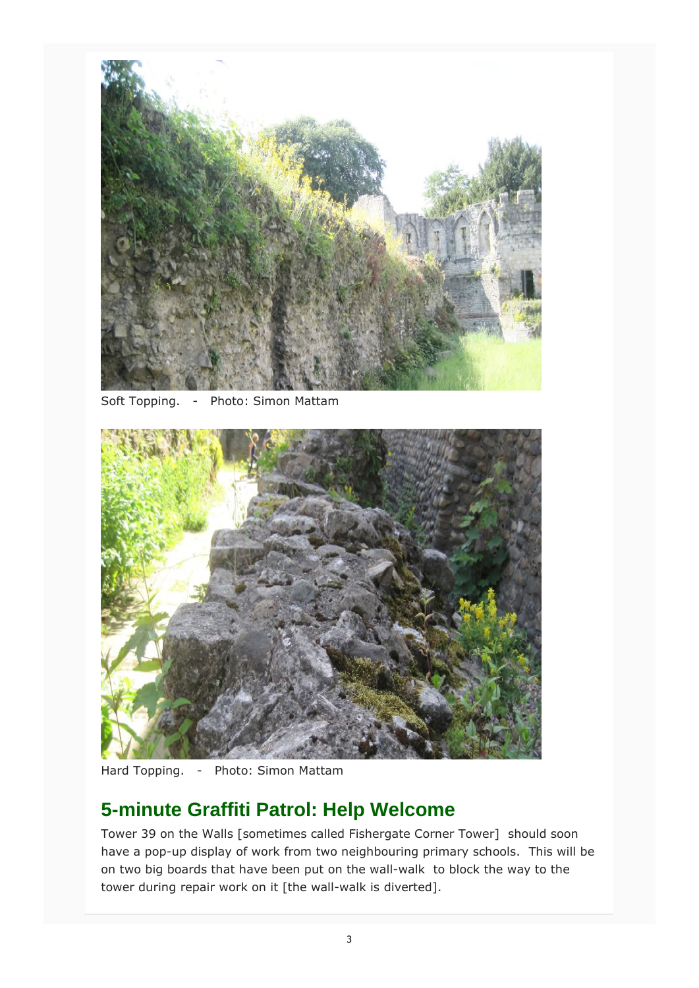

Soft Topping. - Photo: Simon Mattam



Hard Topping. - Photo: Simon Mattam

### **5-minute Graffiti Patrol: Help Welcome**

Tower 39 on the Walls [sometimes called Fishergate Corner Tower] should soon have a pop-up display of work from two neighbouring primary schools. This will be on two big boards that have been put on the wall-walk to block the way to the tower during repair work on it [the wall-walk is diverted].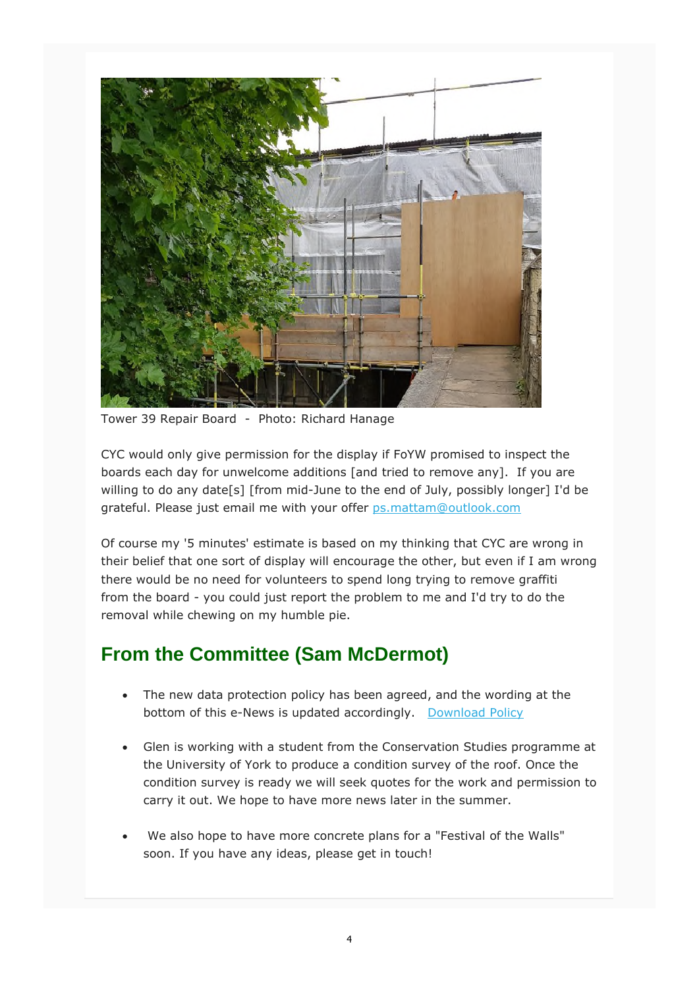

Tower 39 Repair Board - Photo: Richard Hanage

CYC would only give permission for the display if FoYW promised to inspect the boards each day for unwelcome additions [and tried to remove any]. If you are willing to do any date[s] [from mid-June to the end of July, possibly longer] I'd be grateful. Please just email me with your offer ps.mattam@outlook.com

Of course my '5 minutes' estimate is based on my thinking that CYC are wrong in their belief that one sort of display will encourage the other, but even if I am wrong there would be no need for volunteers to spend long trying to remove graffiti from the board - you could just report the problem to me and I'd try to do the removal while chewing on my humble pie.

## **From the Committee (Sam McDermot)**

- The new data protection policy has been agreed, and the wording at the bottom of this e-News is updated accordingly. Download Policy
- Glen is working with a student from the Conservation Studies programme at the University of York to produce a condition survey of the roof. Once the condition survey is ready we will seek quotes for the work and permission to carry it out. We hope to have more news later in the summer.
- We also hope to have more concrete plans for a "Festival of the Walls" soon. If you have any ideas, please get in touch!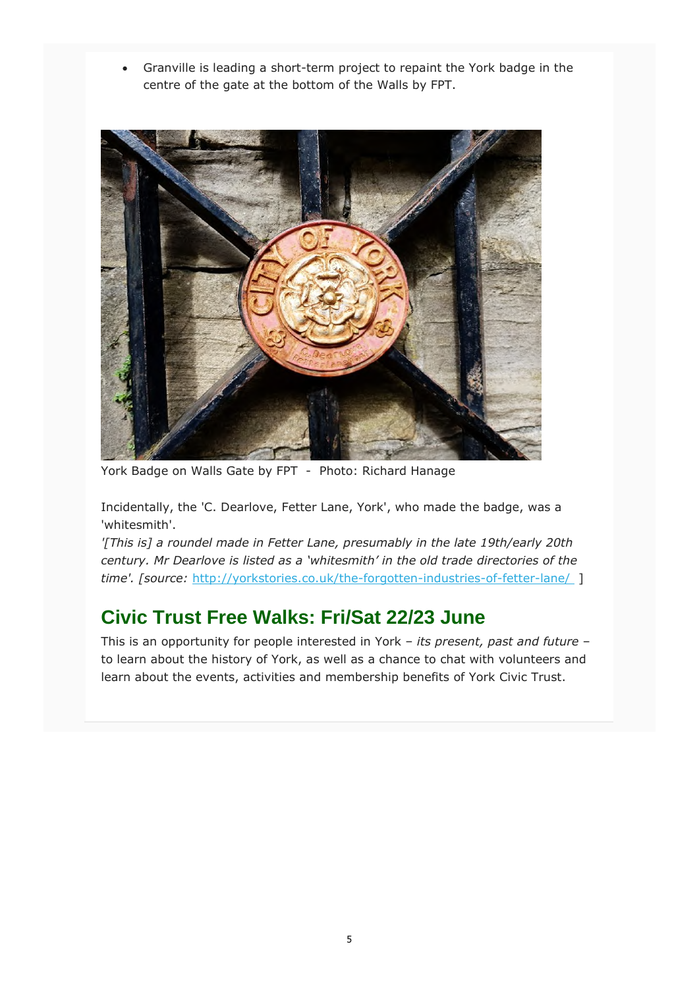Granville is leading a short-term project to repaint the York badge in the centre of the gate at the bottom of the Walls by FPT.



York Badge on Walls Gate by FPT - Photo: Richard Hanage

Incidentally, the 'C. Dearlove, Fetter Lane, York', who made the badge, was a 'whitesmith'.

*'[This is] a roundel made in Fetter Lane, presumably in the late 19th/early 20th century. Mr Dearlove is listed as a 'whitesmith' in the old trade directories of the time'. [source:* http://yorkstories.co.uk/the-forgotten-industries-of-fetter-lane/ ]

#### **Civic Trust Free Walks: Fri/Sat 22/23 June**

This is an opportunity for people interested in York – *its present, past and future* – to learn about the history of York, as well as a chance to chat with volunteers and learn about the events, activities and membership benefits of York Civic Trust.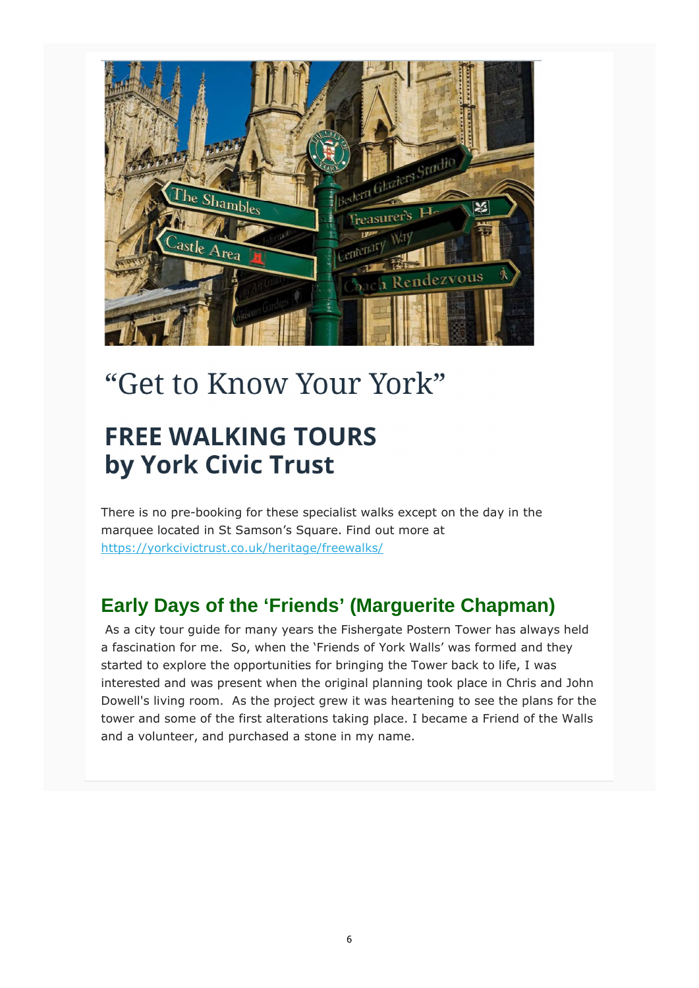

# "Get to Know Your York"

# **FREE WALKING TOURS** by York Civic Trust

There is no pre-booking for these specialist walks except on the day in the marquee located in St Samson's Square. Find out more at https://yorkcivictrust.co.uk/heritage/freewalks/

## **Early Days of the 'Friends' (Marguerite Chapman)**

 As a city tour guide for many years the Fishergate Postern Tower has always held a fascination for me. So, when the 'Friends of York Walls' was formed and they started to explore the opportunities for bringing the Tower back to life, I was interested and was present when the original planning took place in Chris and John Dowell's living room. As the project grew it was heartening to see the plans for the tower and some of the first alterations taking place. I became a Friend of the Walls and a volunteer, and purchased a stone in my name.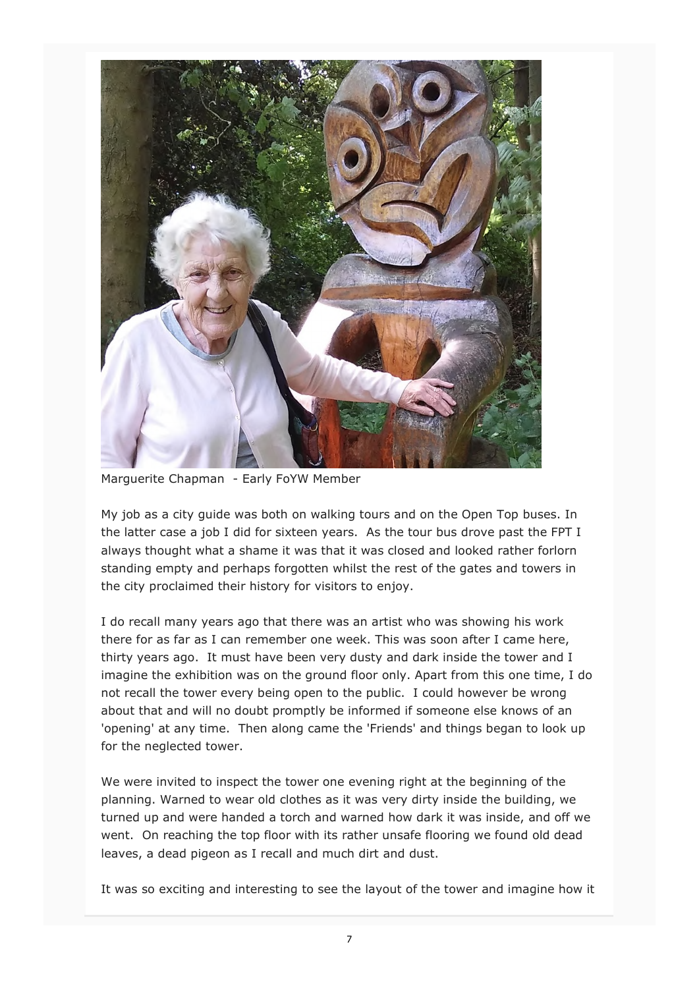

Marguerite Chapman - Early FoYW Member

My job as a city guide was both on walking tours and on the Open Top buses. In the latter case a job I did for sixteen years. As the tour bus drove past the FPT I always thought what a shame it was that it was closed and looked rather forlorn standing empty and perhaps forgotten whilst the rest of the gates and towers in the city proclaimed their history for visitors to enjoy.

I do recall many years ago that there was an artist who was showing his work there for as far as I can remember one week. This was soon after I came here, thirty years ago. It must have been very dusty and dark inside the tower and I imagine the exhibition was on the ground floor only. Apart from this one time, I do not recall the tower every being open to the public. I could however be wrong about that and will no doubt promptly be informed if someone else knows of an 'opening' at any time. Then along came the 'Friends' and things began to look up for the neglected tower.

We were invited to inspect the tower one evening right at the beginning of the planning. Warned to wear old clothes as it was very dirty inside the building, we turned up and were handed a torch and warned how dark it was inside, and off we went. On reaching the top floor with its rather unsafe flooring we found old dead leaves, a dead pigeon as I recall and much dirt and dust.

It was so exciting and interesting to see the layout of the tower and imagine how it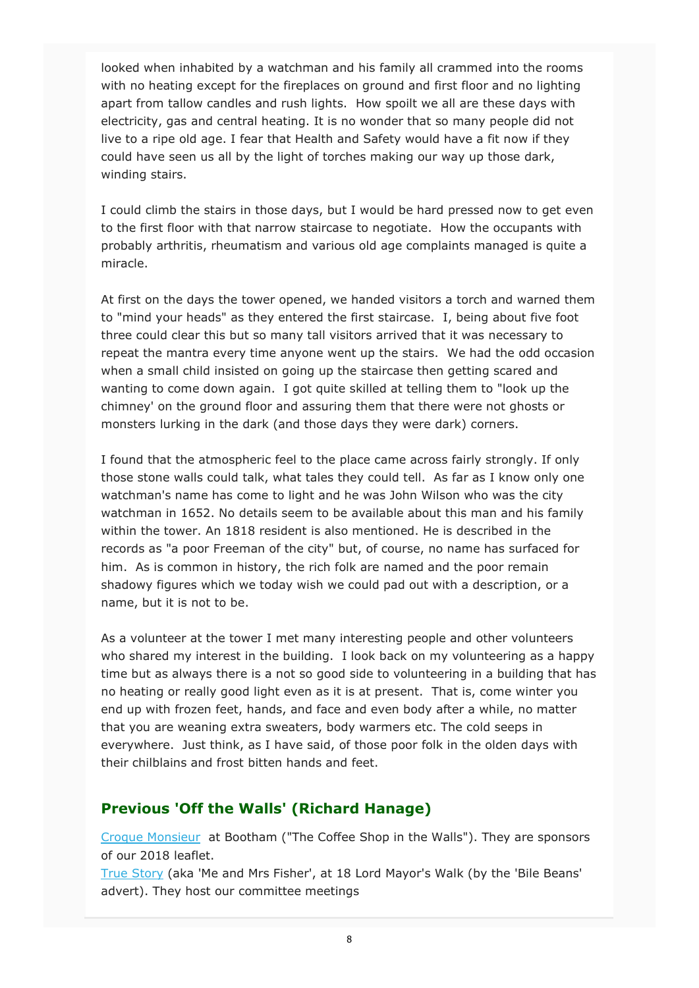looked when inhabited by a watchman and his family all crammed into the rooms with no heating except for the fireplaces on ground and first floor and no lighting apart from tallow candles and rush lights. How spoilt we all are these days with electricity, gas and central heating. It is no wonder that so many people did not live to a ripe old age. I fear that Health and Safety would have a fit now if they could have seen us all by the light of torches making our way up those dark, winding stairs.

I could climb the stairs in those days, but I would be hard pressed now to get even to the first floor with that narrow staircase to negotiate. How the occupants with probably arthritis, rheumatism and various old age complaints managed is quite a miracle.

At first on the days the tower opened, we handed visitors a torch and warned them to "mind your heads" as they entered the first staircase. I, being about five foot three could clear this but so many tall visitors arrived that it was necessary to repeat the mantra every time anyone went up the stairs. We had the odd occasion when a small child insisted on going up the staircase then getting scared and wanting to come down again. I got quite skilled at telling them to "look up the chimney' on the ground floor and assuring them that there were not ghosts or monsters lurking in the dark (and those days they were dark) corners.

I found that the atmospheric feel to the place came across fairly strongly. If only those stone walls could talk, what tales they could tell. As far as I know only one watchman's name has come to light and he was John Wilson who was the city watchman in 1652. No details seem to be available about this man and his family within the tower. An 1818 resident is also mentioned. He is described in the records as "a poor Freeman of the city" but, of course, no name has surfaced for him. As is common in history, the rich folk are named and the poor remain shadowy figures which we today wish we could pad out with a description, or a name, but it is not to be.

As a volunteer at the tower I met many interesting people and other volunteers who shared my interest in the building. I look back on my volunteering as a happy time but as always there is a not so good side to volunteering in a building that has no heating or really good light even as it is at present. That is, come winter you end up with frozen feet, hands, and face and even body after a while, no matter that you are weaning extra sweaters, body warmers etc. The cold seeps in everywhere. Just think, as I have said, of those poor folk in the olden days with their chilblains and frost bitten hands and feet.

#### **Previous 'Off the Walls' (Richard Hanage)**

Croque Monsieur at Bootham ("The Coffee Shop in the Walls"). They are sponsors of our 2018 leaflet.

True Story (aka 'Me and Mrs Fisher', at 18 Lord Mayor's Walk (by the 'Bile Beans' advert). They host our committee meetings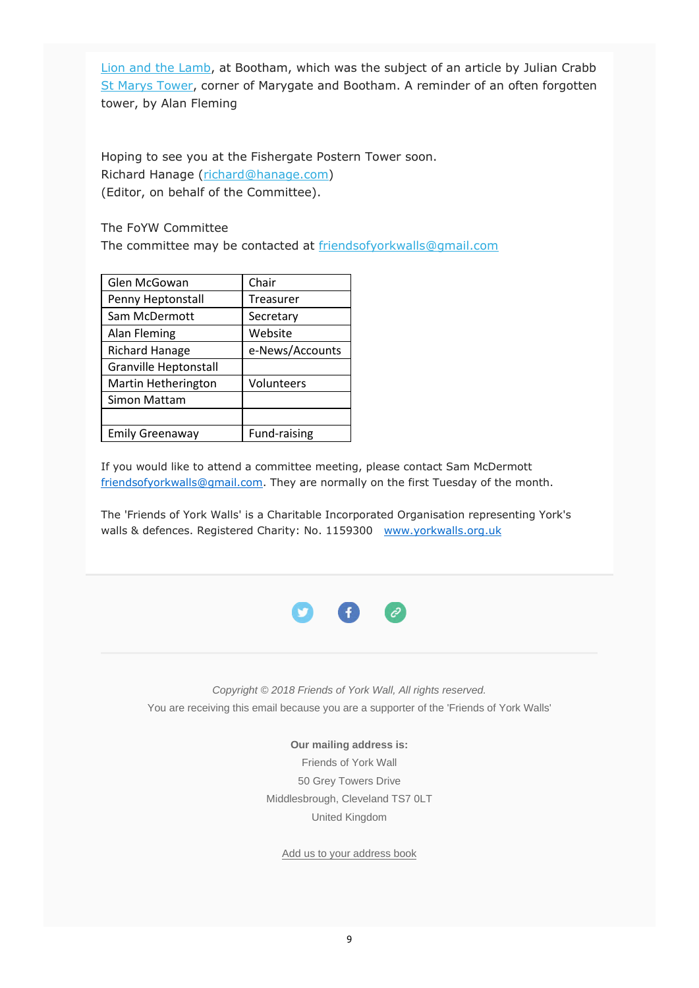Lion and the Lamb, at Bootham, which was the subject of an article by Julian Crabb St Marys Tower, corner of Marygate and Bootham. A reminder of an often forgotten tower, by Alan Fleming

Hoping to see you at the Fishergate Postern Tower soon. Richard Hanage (richard@hanage.com) (Editor, on behalf of the Committee).

The FoYW Committee

The committee may be contacted at friendsofyorkwalls@gmail.com

| Glen McGowan                 | Chair           |
|------------------------------|-----------------|
| Penny Heptonstall            | Treasurer       |
| Sam McDermott                | Secretary       |
| Alan Fleming                 | Website         |
| <b>Richard Hanage</b>        | e-News/Accounts |
| <b>Granville Heptonstall</b> |                 |
| Martin Hetherington          | Volunteers      |
| Simon Mattam                 |                 |
|                              |                 |
| <b>Emily Greenaway</b>       | Fund-raising    |

If you would like to attend a committee meeting, please contact Sam McDermott friendsofyorkwalls@gmail.com. They are normally on the first Tuesday of the month.

The 'Friends of York Walls' is a Charitable Incorporated Organisation representing York's walls & defences. Registered Charity: No. 1159300 www.yorkwalls.org.uk



*Copyright © 2018 Friends of York Wall, All rights reserved.* You are receiving this email because you are a supporter of the 'Friends of York Walls'

> **Our mailing address is:** Friends of York Wall 50 Grey Towers Drive Middlesbrough, Cleveland TS7 0LT United Kingdom

Add us to your address book